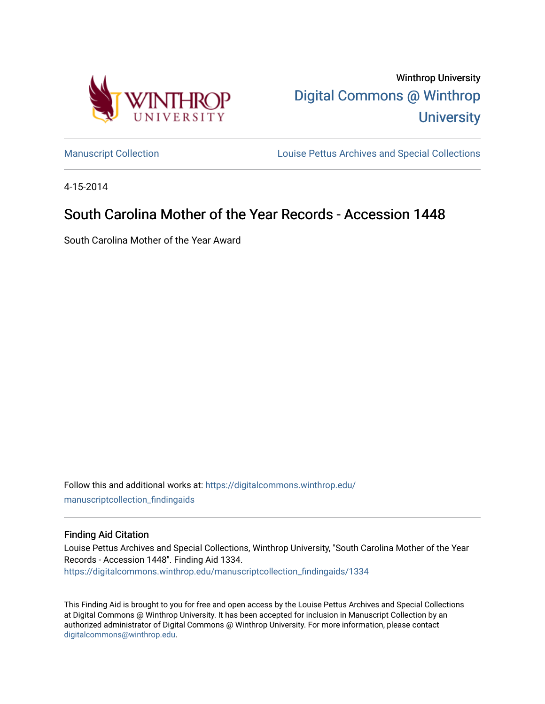

Winthrop University [Digital Commons @ Winthrop](https://digitalcommons.winthrop.edu/)  **University** 

[Manuscript Collection](https://digitalcommons.winthrop.edu/manuscriptcollection_findingaids) **Louise Pettus Archives and Special Collections** 

4-15-2014

# South Carolina Mother of the Year Records - Accession 1448

South Carolina Mother of the Year Award

Follow this and additional works at: [https://digitalcommons.winthrop.edu/](https://digitalcommons.winthrop.edu/manuscriptcollection_findingaids?utm_source=digitalcommons.winthrop.edu%2Fmanuscriptcollection_findingaids%2F1334&utm_medium=PDF&utm_campaign=PDFCoverPages) [manuscriptcollection\\_findingaids](https://digitalcommons.winthrop.edu/manuscriptcollection_findingaids?utm_source=digitalcommons.winthrop.edu%2Fmanuscriptcollection_findingaids%2F1334&utm_medium=PDF&utm_campaign=PDFCoverPages) 

### Finding Aid Citation

Louise Pettus Archives and Special Collections, Winthrop University, "South Carolina Mother of the Year Records - Accession 1448". Finding Aid 1334. [https://digitalcommons.winthrop.edu/manuscriptcollection\\_findingaids/1334](https://digitalcommons.winthrop.edu/manuscriptcollection_findingaids/1334?utm_source=digitalcommons.winthrop.edu%2Fmanuscriptcollection_findingaids%2F1334&utm_medium=PDF&utm_campaign=PDFCoverPages) 

This Finding Aid is brought to you for free and open access by the Louise Pettus Archives and Special Collections at Digital Commons @ Winthrop University. It has been accepted for inclusion in Manuscript Collection by an authorized administrator of Digital Commons @ Winthrop University. For more information, please contact [digitalcommons@winthrop.edu](mailto:digitalcommons@winthrop.edu).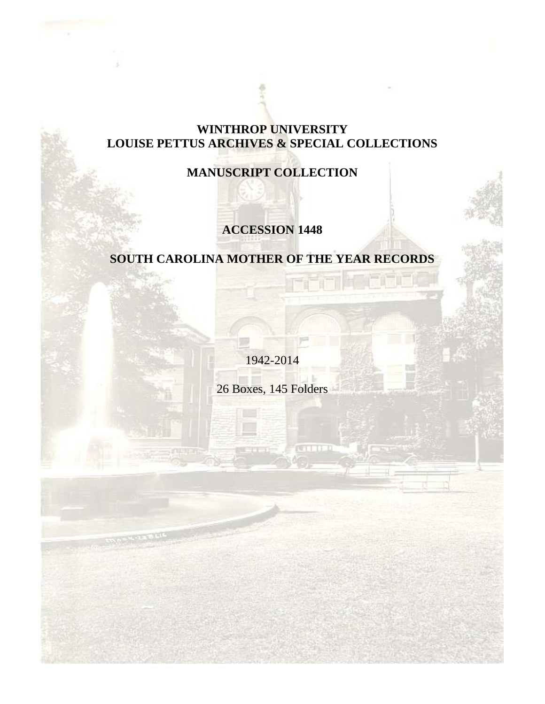## **WINTHROP UNIVERSITY LOUISE PETTUS ARCHIVES & SPECIAL COLLECTIONS**

# **MANUSCRIPT COLLECTION**

# **ACCESSION 1448**

# **SOUTH CAROLINA MOTHER OF THE YEAR RECORDS**

1942-2014

26 Boxes, 145 Folders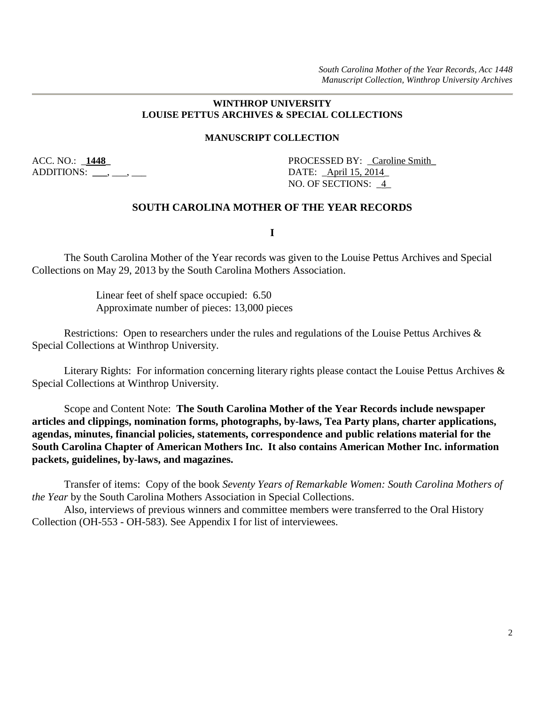*South Carolina Mother of the Year Records, Acc 1448 Manuscript Collection, Winthrop University Archives*

#### **WINTHROP UNIVERSITY LOUISE PETTUS ARCHIVES & SPECIAL COLLECTIONS**

#### **MANUSCRIPT COLLECTION**

ADDITIONS: , , , DATE: April 15, 2014

ACC. NO.:  $\angle$  **1448**<br>PROCESSED BY: Caroline Smith NO. OF SECTIONS: \_4\_

### **SOUTH CAROLINA MOTHER OF THE YEAR RECORDS**

**I**

The South Carolina Mother of the Year records was given to the Louise Pettus Archives and Special Collections on May 29, 2013 by the South Carolina Mothers Association.

> Linear feet of shelf space occupied: 6.50 Approximate number of pieces: 13,000 pieces

Restrictions: Open to researchers under the rules and regulations of the Louise Pettus Archives & Special Collections at Winthrop University.

Literary Rights: For information concerning literary rights please contact the Louise Pettus Archives & Special Collections at Winthrop University.

Scope and Content Note: **The South Carolina Mother of the Year Records include newspaper articles and clippings, nomination forms, photographs, by-laws, Tea Party plans, charter applications, agendas, minutes, financial policies, statements, correspondence and public relations material for the South Carolina Chapter of American Mothers Inc. It also contains American Mother Inc. information packets, guidelines, by-laws, and magazines.** 

Transfer of items: Copy of the book *Seventy Years of Remarkable Women: South Carolina Mothers of the Year* by the South Carolina Mothers Association in Special Collections.

Also, interviews of previous winners and committee members were transferred to the Oral History Collection (OH-553 - OH-583). See Appendix I for list of interviewees.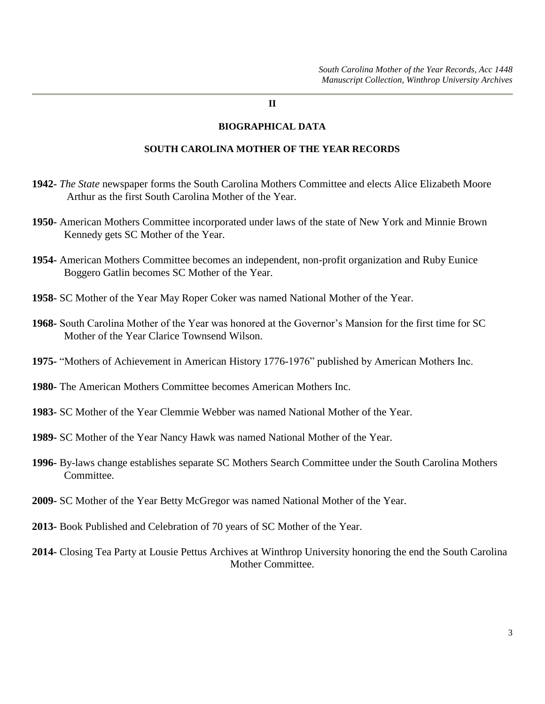#### **II**

### **BIOGRAPHICAL DATA**

### **SOUTH CAROLINA MOTHER OF THE YEAR RECORDS**

- **1942-** *The State* newspaper forms the South Carolina Mothers Committee and elects Alice Elizabeth Moore Arthur as the first South Carolina Mother of the Year.
- **1950-** American Mothers Committee incorporated under laws of the state of New York and Minnie Brown Kennedy gets SC Mother of the Year.
- **1954-** American Mothers Committee becomes an independent, non-profit organization and Ruby Eunice Boggero Gatlin becomes SC Mother of the Year.
- **1958-** SC Mother of the Year May Roper Coker was named National Mother of the Year.
- **1968-** South Carolina Mother of the Year was honored at the Governor's Mansion for the first time for SC Mother of the Year Clarice Townsend Wilson.
- **1975-** "Mothers of Achievement in American History 1776-1976" published by American Mothers Inc.
- **1980-** The American Mothers Committee becomes American Mothers Inc.
- **1983-** SC Mother of the Year Clemmie Webber was named National Mother of the Year.
- **1989-** SC Mother of the Year Nancy Hawk was named National Mother of the Year.
- **1996-** By-laws change establishes separate SC Mothers Search Committee under the South Carolina Mothers Committee.
- **2009-** SC Mother of the Year Betty McGregor was named National Mother of the Year.
- **2013-** Book Published and Celebration of 70 years of SC Mother of the Year.
- **2014-** Closing Tea Party at Lousie Pettus Archives at Winthrop University honoring the end the South Carolina Mother Committee.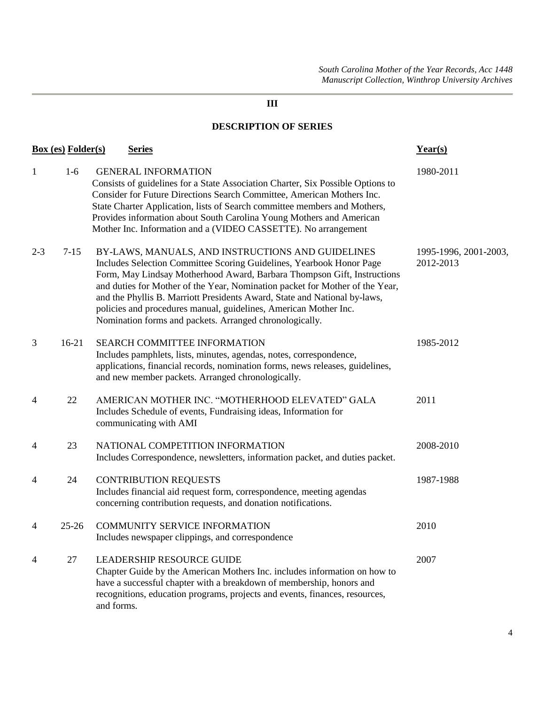### **DESCRIPTION OF SERIES**

| Box (es) Folder(s)<br><b>Series</b> |           |                                                                                                                                                                                                                                                                                                                                                                                                                                                                                                  | Year(s)                            |  |
|-------------------------------------|-----------|--------------------------------------------------------------------------------------------------------------------------------------------------------------------------------------------------------------------------------------------------------------------------------------------------------------------------------------------------------------------------------------------------------------------------------------------------------------------------------------------------|------------------------------------|--|
| $\mathbf{1}$                        | $1-6$     | <b>GENERAL INFORMATION</b><br>Consists of guidelines for a State Association Charter, Six Possible Options to<br>Consider for Future Directions Search Committee, American Mothers Inc.<br>State Charter Application, lists of Search committee members and Mothers,<br>Provides information about South Carolina Young Mothers and American<br>Mother Inc. Information and a (VIDEO CASSETTE). No arrangement                                                                                   | 1980-2011                          |  |
| $2 - 3$                             | $7 - 15$  | BY-LAWS, MANUALS, AND INSTRUCTIONS AND GUIDELINES<br>Includes Selection Committee Scoring Guidelines, Yearbook Honor Page<br>Form, May Lindsay Motherhood Award, Barbara Thompson Gift, Instructions<br>and duties for Mother of the Year, Nomination packet for Mother of the Year,<br>and the Phyllis B. Marriott Presidents Award, State and National by-laws,<br>policies and procedures manual, guidelines, American Mother Inc.<br>Nomination forms and packets. Arranged chronologically. | 1995-1996, 2001-2003,<br>2012-2013 |  |
| 3                                   | $16-21$   | <b>SEARCH COMMITTEE INFORMATION</b><br>Includes pamphlets, lists, minutes, agendas, notes, correspondence,<br>applications, financial records, nomination forms, news releases, guidelines,<br>and new member packets. Arranged chronologically.                                                                                                                                                                                                                                                 | 1985-2012                          |  |
| 4                                   | 22        | AMERICAN MOTHER INC. "MOTHERHOOD ELEVATED" GALA<br>Includes Schedule of events, Fundraising ideas, Information for<br>communicating with AMI                                                                                                                                                                                                                                                                                                                                                     | 2011                               |  |
| 4                                   | 23        | NATIONAL COMPETITION INFORMATION<br>Includes Correspondence, newsletters, information packet, and duties packet.                                                                                                                                                                                                                                                                                                                                                                                 | 2008-2010                          |  |
| 4                                   | 24        | <b>CONTRIBUTION REQUESTS</b><br>Includes financial aid request form, correspondence, meeting agendas<br>concerning contribution requests, and donation notifications.                                                                                                                                                                                                                                                                                                                            | 1987-1988                          |  |
| 4                                   | $25 - 26$ | COMMUNITY SERVICE INFORMATION<br>Includes newspaper clippings, and correspondence                                                                                                                                                                                                                                                                                                                                                                                                                | 2010                               |  |
| 4                                   | $27\,$    | LEADERSHIP RESOURCE GUIDE<br>Chapter Guide by the American Mothers Inc. includes information on how to<br>have a successful chapter with a breakdown of membership, honors and<br>recognitions, education programs, projects and events, finances, resources,<br>and forms.                                                                                                                                                                                                                      | 2007                               |  |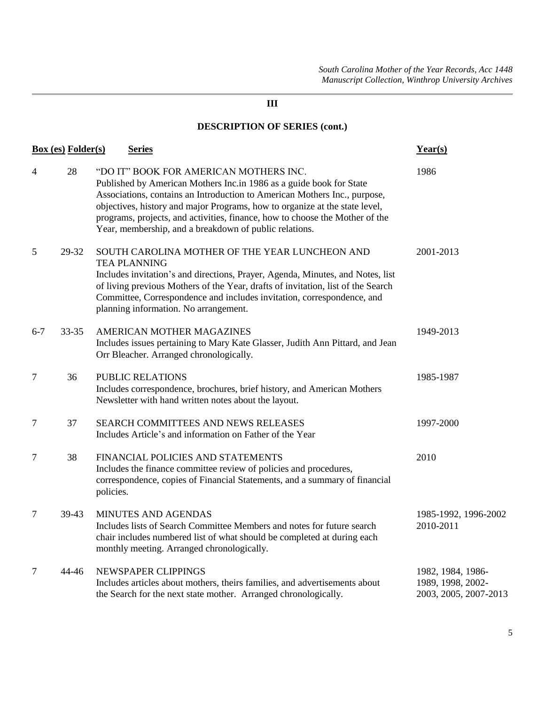| <b>Box (es) Folder(s)</b><br><b>Series</b> |       | Year(s)                                                                                                                                                                                                                                                                                                                                                                                                             |                                                                 |
|--------------------------------------------|-------|---------------------------------------------------------------------------------------------------------------------------------------------------------------------------------------------------------------------------------------------------------------------------------------------------------------------------------------------------------------------------------------------------------------------|-----------------------------------------------------------------|
| $\overline{4}$                             | 28    | "DO IT" BOOK FOR AMERICAN MOTHERS INC.<br>Published by American Mothers Inc.in 1986 as a guide book for State<br>Associations, contains an Introduction to American Mothers Inc., purpose,<br>objectives, history and major Programs, how to organize at the state level,<br>programs, projects, and activities, finance, how to choose the Mother of the<br>Year, membership, and a breakdown of public relations. | 1986                                                            |
| 5                                          | 29-32 | SOUTH CAROLINA MOTHER OF THE YEAR LUNCHEON AND<br><b>TEA PLANNING</b><br>Includes invitation's and directions, Prayer, Agenda, Minutes, and Notes, list<br>of living previous Mothers of the Year, drafts of invitation, list of the Search<br>Committee, Correspondence and includes invitation, correspondence, and<br>planning information. No arrangement.                                                      | 2001-2013                                                       |
| $6 - 7$                                    | 33-35 | AMERICAN MOTHER MAGAZINES<br>Includes issues pertaining to Mary Kate Glasser, Judith Ann Pittard, and Jean<br>Orr Bleacher. Arranged chronologically.                                                                                                                                                                                                                                                               | 1949-2013                                                       |
| $\tau$                                     | 36    | PUBLIC RELATIONS<br>Includes correspondence, brochures, brief history, and American Mothers<br>Newsletter with hand written notes about the layout.                                                                                                                                                                                                                                                                 | 1985-1987                                                       |
| $\tau$                                     | 37    | SEARCH COMMITTEES AND NEWS RELEASES<br>Includes Article's and information on Father of the Year                                                                                                                                                                                                                                                                                                                     | 1997-2000                                                       |
| $\overline{7}$                             | 38    | FINANCIAL POLICIES AND STATEMENTS<br>Includes the finance committee review of policies and procedures,<br>correspondence, copies of Financial Statements, and a summary of financial<br>policies.                                                                                                                                                                                                                   | 2010                                                            |
| $\tau$                                     | 39-43 | MINUTES AND AGENDAS<br>Includes lists of Search Committee Members and notes for future search<br>chair includes numbered list of what should be completed at during each<br>monthly meeting. Arranged chronologically.                                                                                                                                                                                              | 1985-1992, 1996-2002<br>2010-2011                               |
| $\overline{7}$                             | 44-46 | NEWSPAPER CLIPPINGS<br>Includes articles about mothers, theirs families, and advertisements about<br>the Search for the next state mother. Arranged chronologically.                                                                                                                                                                                                                                                | 1982, 1984, 1986-<br>1989, 1998, 2002-<br>2003, 2005, 2007-2013 |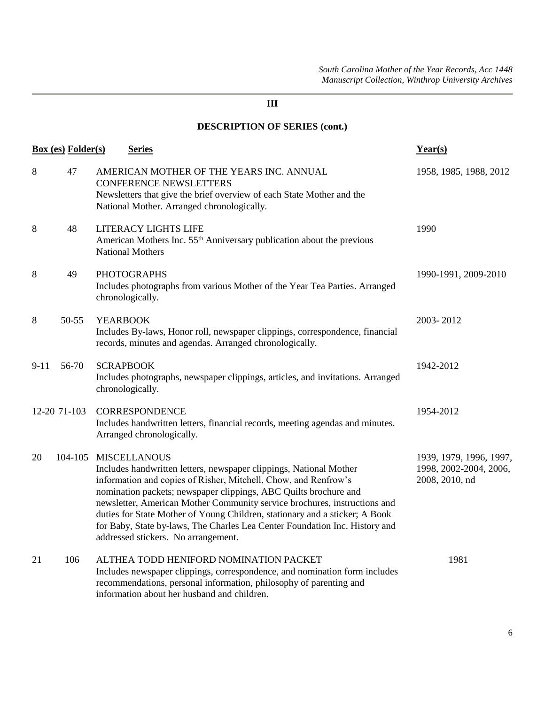| <b>Box</b> (es) <b>Folder</b> (s)<br><b>Series</b> |              | Year(s)                                                                                                                                                                                                                                                                                                                                                                                                                                                                                                            |                                                                     |
|----------------------------------------------------|--------------|--------------------------------------------------------------------------------------------------------------------------------------------------------------------------------------------------------------------------------------------------------------------------------------------------------------------------------------------------------------------------------------------------------------------------------------------------------------------------------------------------------------------|---------------------------------------------------------------------|
| 8                                                  | 47           | AMERICAN MOTHER OF THE YEARS INC. ANNUAL<br><b>CONFERENCE NEWSLETTERS</b><br>Newsletters that give the brief overview of each State Mother and the<br>National Mother. Arranged chronologically.                                                                                                                                                                                                                                                                                                                   | 1958, 1985, 1988, 2012                                              |
| 8                                                  | 48           | LITERACY LIGHTS LIFE<br>American Mothers Inc. 55 <sup>th</sup> Anniversary publication about the previous<br><b>National Mothers</b>                                                                                                                                                                                                                                                                                                                                                                               | 1990                                                                |
| 8                                                  | 49           | <b>PHOTOGRAPHS</b><br>Includes photographs from various Mother of the Year Tea Parties. Arranged<br>chronologically.                                                                                                                                                                                                                                                                                                                                                                                               | 1990-1991, 2009-2010                                                |
| 8                                                  | 50-55        | <b>YEARBOOK</b><br>Includes By-laws, Honor roll, newspaper clippings, correspondence, financial<br>records, minutes and agendas. Arranged chronologically.                                                                                                                                                                                                                                                                                                                                                         | 2003-2012                                                           |
| $9 - 11$                                           | 56-70        | <b>SCRAPBOOK</b><br>Includes photographs, newspaper clippings, articles, and invitations. Arranged<br>chronologically.                                                                                                                                                                                                                                                                                                                                                                                             | 1942-2012                                                           |
|                                                    | 12-20 71-103 | <b>CORRESPONDENCE</b><br>Includes handwritten letters, financial records, meeting agendas and minutes.<br>Arranged chronologically.                                                                                                                                                                                                                                                                                                                                                                                | 1954-2012                                                           |
| 20                                                 | 104-105      | <b>MISCELLANOUS</b><br>Includes handwritten letters, newspaper clippings, National Mother<br>information and copies of Risher, Mitchell, Chow, and Renfrow's<br>nomination packets; newspaper clippings, ABC Quilts brochure and<br>newsletter, American Mother Community service brochures, instructions and<br>duties for State Mother of Young Children, stationary and a sticker; A Book<br>for Baby, State by-laws, The Charles Lea Center Foundation Inc. History and<br>addressed stickers. No arrangement. | 1939, 1979, 1996, 1997,<br>1998, 2002-2004, 2006,<br>2008, 2010, nd |
| 21                                                 | 106          | ALTHEA TODD HENIFORD NOMINATION PACKET<br>Includes newspaper clippings, correspondence, and nomination form includes<br>recommendations, personal information, philosophy of parenting and<br>information about her husband and children.                                                                                                                                                                                                                                                                          | 1981                                                                |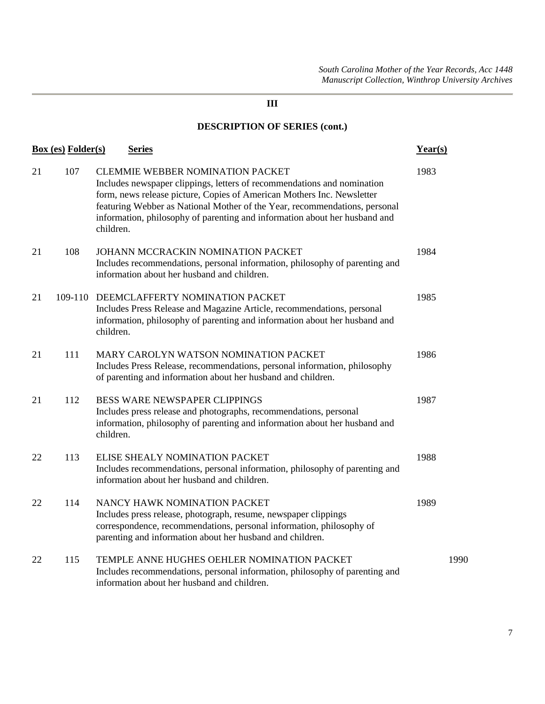| <b>Box (es) Folder(s)</b><br><b>Series</b> |         | Year(s)                                                                                                                                                                                                                                                                                                                                                               |      |
|--------------------------------------------|---------|-----------------------------------------------------------------------------------------------------------------------------------------------------------------------------------------------------------------------------------------------------------------------------------------------------------------------------------------------------------------------|------|
| 21                                         | 107     | <b>CLEMMIE WEBBER NOMINATION PACKET</b><br>Includes newspaper clippings, letters of recommendations and nomination<br>form, news release picture, Copies of American Mothers Inc. Newsletter<br>featuring Webber as National Mother of the Year, recommendations, personal<br>information, philosophy of parenting and information about her husband and<br>children. | 1983 |
| 21                                         | 108     | JOHANN MCCRACKIN NOMINATION PACKET<br>Includes recommendations, personal information, philosophy of parenting and<br>information about her husband and children.                                                                                                                                                                                                      | 1984 |
| 21                                         | 109-110 | DEEMCLAFFERTY NOMINATION PACKET<br>Includes Press Release and Magazine Article, recommendations, personal<br>information, philosophy of parenting and information about her husband and<br>children.                                                                                                                                                                  | 1985 |
| 21                                         | 111     | MARY CAROLYN WATSON NOMINATION PACKET<br>Includes Press Release, recommendations, personal information, philosophy<br>of parenting and information about her husband and children.                                                                                                                                                                                    | 1986 |
| 21                                         | 112     | BESS WARE NEWSPAPER CLIPPINGS<br>Includes press release and photographs, recommendations, personal<br>information, philosophy of parenting and information about her husband and<br>children.                                                                                                                                                                         | 1987 |
| 22                                         | 113     | ELISE SHEALY NOMINATION PACKET<br>Includes recommendations, personal information, philosophy of parenting and<br>information about her husband and children.                                                                                                                                                                                                          | 1988 |
| 22                                         | 114     | NANCY HAWK NOMINATION PACKET<br>Includes press release, photograph, resume, newspaper clippings<br>correspondence, recommendations, personal information, philosophy of<br>parenting and information about her husband and children.                                                                                                                                  | 1989 |
| 22                                         | 115     | TEMPLE ANNE HUGHES OEHLER NOMINATION PACKET<br>Includes recommendations, personal information, philosophy of parenting and<br>information about her husband and children.                                                                                                                                                                                             | 1990 |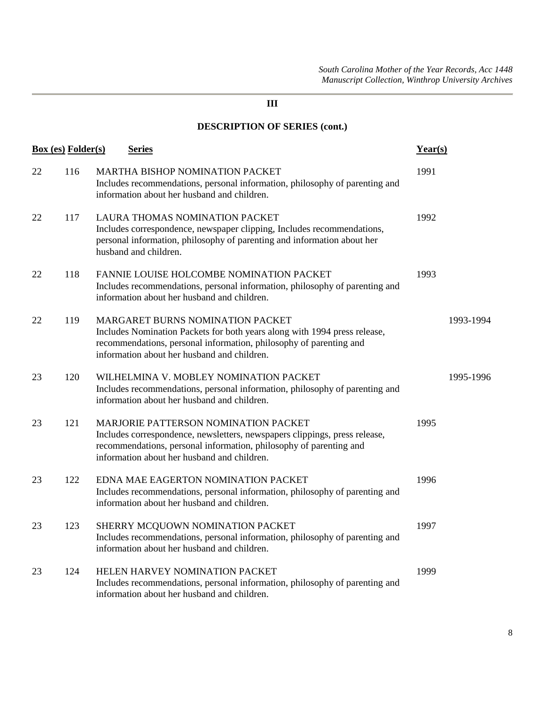| <b>Box</b> (es) Folder(s) |     | <b>Series</b>                                                                                                                                                                                                                           | Year(s) |           |
|---------------------------|-----|-----------------------------------------------------------------------------------------------------------------------------------------------------------------------------------------------------------------------------------------|---------|-----------|
| 22                        | 116 | MARTHA BISHOP NOMINATION PACKET<br>Includes recommendations, personal information, philosophy of parenting and<br>information about her husband and children.                                                                           | 1991    |           |
| 22                        | 117 | LAURA THOMAS NOMINATION PACKET<br>Includes correspondence, newspaper clipping, Includes recommendations,<br>personal information, philosophy of parenting and information about her<br>husband and children.                            | 1992    |           |
| 22                        | 118 | FANNIE LOUISE HOLCOMBE NOMINATION PACKET<br>Includes recommendations, personal information, philosophy of parenting and<br>information about her husband and children.                                                                  | 1993    |           |
| 22                        | 119 | MARGARET BURNS NOMINATION PACKET<br>Includes Nomination Packets for both years along with 1994 press release,<br>recommendations, personal information, philosophy of parenting and<br>information about her husband and children.      |         | 1993-1994 |
| 23                        | 120 | WILHELMINA V. MOBLEY NOMINATION PACKET<br>Includes recommendations, personal information, philosophy of parenting and<br>information about her husband and children.                                                                    |         | 1995-1996 |
| 23                        | 121 | MARJORIE PATTERSON NOMINATION PACKET<br>Includes correspondence, newsletters, newspapers clippings, press release,<br>recommendations, personal information, philosophy of parenting and<br>information about her husband and children. | 1995    |           |
| 23                        | 122 | EDNA MAE EAGERTON NOMINATION PACKET<br>Includes recommendations, personal information, philosophy of parenting and<br>information about her husband and children.                                                                       | 1996    |           |
| 23                        | 123 | SHERRY MCQUOWN NOMINATION PACKET<br>Includes recommendations, personal information, philosophy of parenting and<br>information about her husband and children.                                                                          | 1997    |           |
| 23                        | 124 | HELEN HARVEY NOMINATION PACKET<br>Includes recommendations, personal information, philosophy of parenting and<br>information about her husband and children.                                                                            | 1999    |           |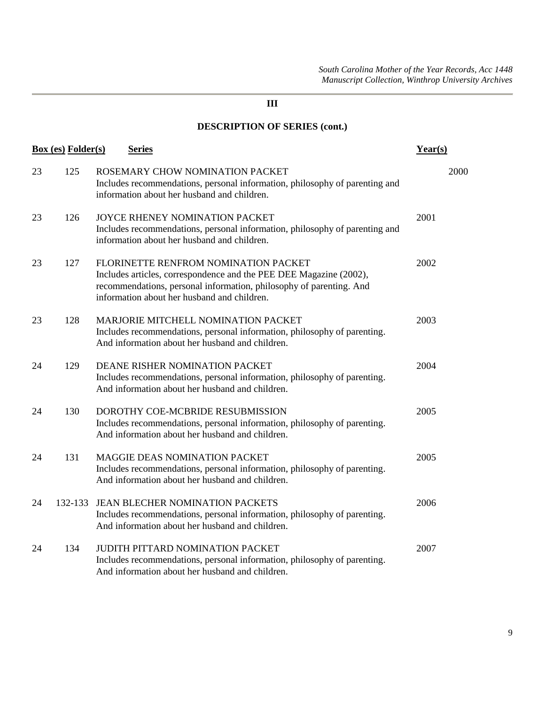|    | <b>Box (es) Folder(s)</b> | <b>Series</b>                                                                                                                                                                                                                    | Year(s) |
|----|---------------------------|----------------------------------------------------------------------------------------------------------------------------------------------------------------------------------------------------------------------------------|---------|
| 23 | 125                       | ROSEMARY CHOW NOMINATION PACKET<br>Includes recommendations, personal information, philosophy of parenting and<br>information about her husband and children.                                                                    | 2000    |
| 23 | 126                       | JOYCE RHENEY NOMINATION PACKET<br>Includes recommendations, personal information, philosophy of parenting and<br>information about her husband and children.                                                                     | 2001    |
| 23 | 127                       | FLORINETTE RENFROM NOMINATION PACKET<br>Includes articles, correspondence and the PEE DEE Magazine (2002),<br>recommendations, personal information, philosophy of parenting. And<br>information about her husband and children. | 2002    |
| 23 | 128                       | MARJORIE MITCHELL NOMINATION PACKET<br>Includes recommendations, personal information, philosophy of parenting.<br>And information about her husband and children.                                                               | 2003    |
| 24 | 129                       | DEANE RISHER NOMINATION PACKET<br>Includes recommendations, personal information, philosophy of parenting.<br>And information about her husband and children.                                                                    | 2004    |
| 24 | 130                       | DOROTHY COE-MCBRIDE RESUBMISSION<br>Includes recommendations, personal information, philosophy of parenting.<br>And information about her husband and children.                                                                  | 2005    |
| 24 | 131                       | <b>MAGGIE DEAS NOMINATION PACKET</b><br>Includes recommendations, personal information, philosophy of parenting.<br>And information about her husband and children.                                                              | 2005    |
| 24 | 132-133                   | <b>JEAN BLECHER NOMINATION PACKETS</b><br>Includes recommendations, personal information, philosophy of parenting.<br>And information about her husband and children.                                                            | 2006    |
| 24 | 134                       | <b>JUDITH PITTARD NOMINATION PACKET</b><br>Includes recommendations, personal information, philosophy of parenting.<br>And information about her husband and children.                                                           | 2007    |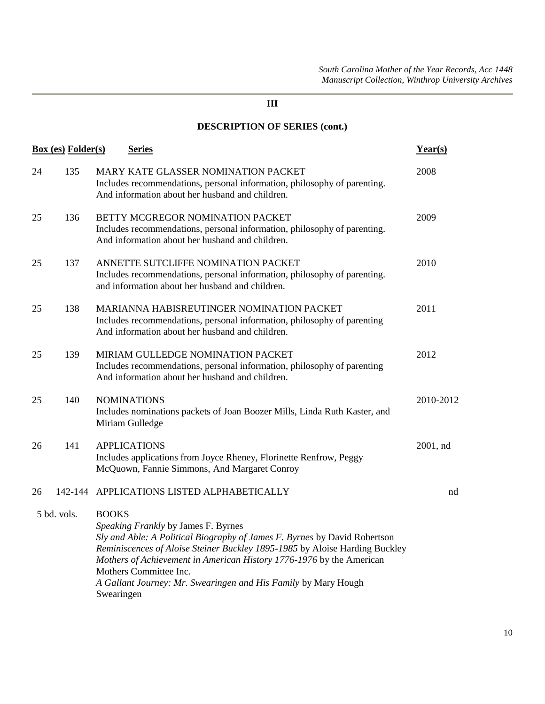|             | <b>Box (es) Folder(s)</b> | <b>Series</b>                                                                                                                                                                                                                                                                                                                                                                                     | Year(s)   |
|-------------|---------------------------|---------------------------------------------------------------------------------------------------------------------------------------------------------------------------------------------------------------------------------------------------------------------------------------------------------------------------------------------------------------------------------------------------|-----------|
| 24          | 135                       | MARY KATE GLASSER NOMINATION PACKET<br>Includes recommendations, personal information, philosophy of parenting.<br>And information about her husband and children.                                                                                                                                                                                                                                | 2008      |
| 25          | 136                       | BETTY MCGREGOR NOMINATION PACKET<br>Includes recommendations, personal information, philosophy of parenting.<br>And information about her husband and children.                                                                                                                                                                                                                                   | 2009      |
| 25          | 137                       | ANNETTE SUTCLIFFE NOMINATION PACKET<br>Includes recommendations, personal information, philosophy of parenting.<br>and information about her husband and children.                                                                                                                                                                                                                                | 2010      |
| 25          | 138                       | MARIANNA HABISREUTINGER NOMINATION PACKET<br>Includes recommendations, personal information, philosophy of parenting<br>And information about her husband and children.                                                                                                                                                                                                                           | 2011      |
| 25          | 139                       | MIRIAM GULLEDGE NOMINATION PACKET<br>Includes recommendations, personal information, philosophy of parenting<br>And information about her husband and children.                                                                                                                                                                                                                                   | 2012      |
| 25          | 140                       | <b>NOMINATIONS</b><br>Includes nominations packets of Joan Boozer Mills, Linda Ruth Kaster, and<br>Miriam Gulledge                                                                                                                                                                                                                                                                                | 2010-2012 |
| 26          | 141                       | <b>APPLICATIONS</b><br>Includes applications from Joyce Rheney, Florinette Renfrow, Peggy<br>McQuown, Fannie Simmons, And Margaret Conroy                                                                                                                                                                                                                                                         | 2001, nd  |
| 26          |                           | 142-144 APPLICATIONS LISTED ALPHABETICALLY                                                                                                                                                                                                                                                                                                                                                        | nd        |
| 5 bd. vols. |                           | <b>BOOKS</b><br>Speaking Frankly by James F. Byrnes<br>Sly and Able: A Political Biography of James F. Byrnes by David Robertson<br>Reminiscences of Aloise Steiner Buckley 1895-1985 by Aloise Harding Buckley<br>Mothers of Achievement in American History 1776-1976 by the American<br>Mothers Committee Inc.<br>A Gallant Journey: Mr. Swearingen and His Family by Mary Hough<br>Swearingen |           |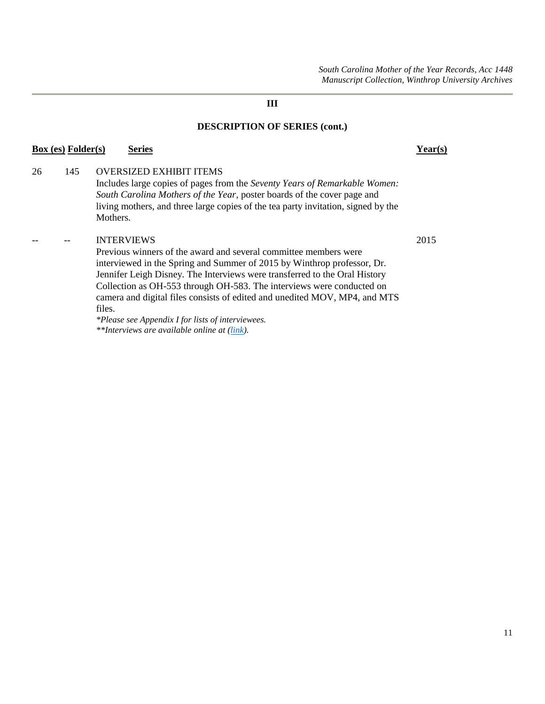*South Carolina Mother of the Year Records, Acc 1448 Manuscript Collection, Winthrop University Archives*

**III**

#### **DESCRIPTION OF SERIES (cont.)**

# 26 145 OVERSIZED EXHIBIT ITEMS

Includes large copies of pages from the *Seventy Years of Remarkable Women: South Carolina Mothers of the Year*, poster boards of the cover page and living mothers, and three large copies of the tea party invitation, signed by the Mothers.

**Box (es) Folder(s) Series Year(s)**

#### -- -- INTERVIEWS 2015

Previous winners of the award and several committee members were interviewed in the Spring and Summer of 2015 by Winthrop professor, Dr. Jennifer Leigh Disney. The Interviews were transferred to the Oral History Collection as OH-553 through OH-583. The interviews were conducted on camera and digital files consists of edited and unedited MOV, MP4, and MTS files.

*\*Please see Appendix I for lists of interviewees. \*\*Interviews are available online at [\(link\)](https://digitalcommons.winthrop.edu/scmotheroftheyear/).*